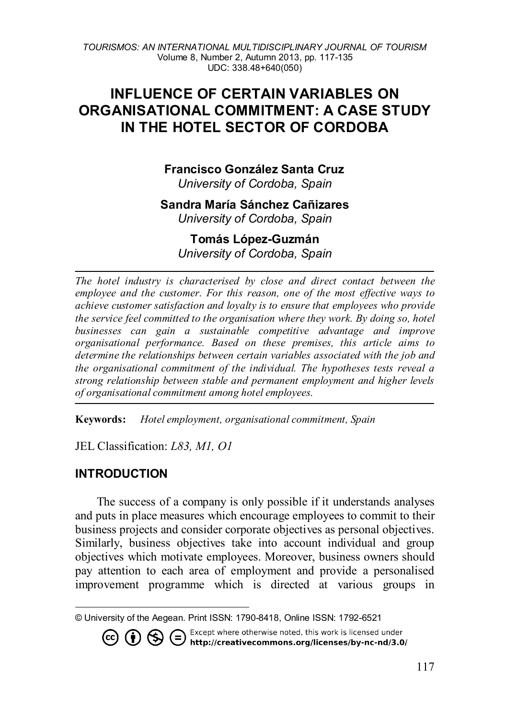# **INFLUENCE OF CERTAIN VARIABLES ON ORGANISATIONAL COMMITMENT: A CASE STUDY IN THE HOTEL SECTOR OF CORDOBA**

# **Francisco González Santa Cruz**

*University of Cordoba, Spain*

# **Sandra María Sánchez Cañizares**

*University of Cordoba, Spain*

### **Tomás López-Guzmán** *University of Cordoba, Spain*

*The hotel industry is characterised by close and direct contact between the employee and the customer. For this reason, one of the most effective ways to achieve customer satisfaction and loyalty is to ensure that employees who provide the service feel committed to the organisation where they work. By doing so, hotel businesses can gain a sustainable competitive advantage and improve organisational performance. Based on these premises, this article aims to determine the relationships between certain variables associated with the job and the organisational commitment of the individual. The hypotheses tests reveal a strong relationship between stable and permanent employment and higher levels of organisational commitment among hotel employees.*

**Keywords:** *Hotel employment, organisational commitment, Spain* 

JEL Classification: *L83, M1, O1*

### **INTRODUCTION**

 $\overline{a}$ 

 $(c)$ 

The success of a company is only possible if it understands analyses and puts in place measures which encourage employees to commit to their business projects and consider corporate objectives as personal objectives. Similarly, business objectives take into account individual and group objectives which motivate employees. Moreover, business owners should pay attention to each area of employment and provide a personalised improvement programme which is directed at various groups in

<span id="page-0-0"></span><sup>©</sup> University of the Aegean. Print ISSN: 1790-8418, Online ISSN: 1792-6521

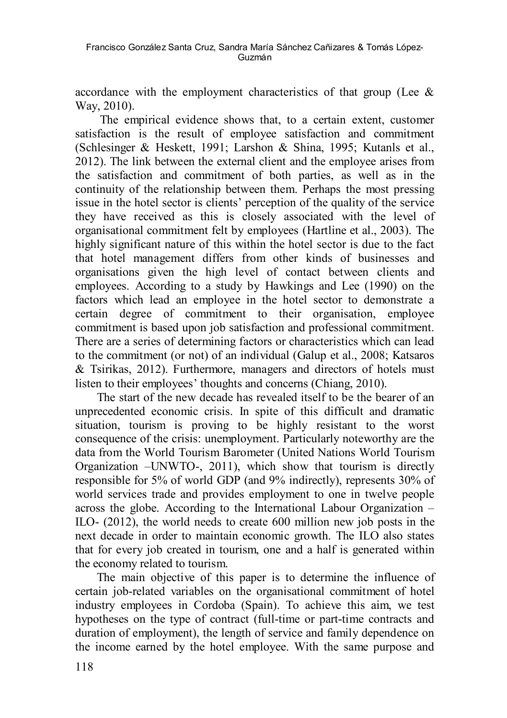accordance with the employment characteristics of that group (Lee  $\&$ Way, 2010).

The empirical evidence shows that, to a certain extent, customer satisfaction is the result of employee satisfaction and commitment (Schlesinger & Heskett, 1991; Larshon & Shina, 1995; Kutanls et al., 2012). The link between the external client and the employee arises from the satisfaction and commitment of both parties, as well as in the continuity of the relationship between them. Perhaps the most pressing issue in the hotel sector is clients' perception of the quality of the service they have received as this is closely associated with the level of organisational commitment felt by employees (Hartline et al., 2003). The highly significant nature of this within the hotel sector is due to the fact that hotel management differs from other kinds of businesses and organisations given the high level of contact between clients and employees. According to a study by Hawkings and Lee (1990) on the factors which lead an employee in the hotel sector to demonstrate a certain degree of commitment to their organisation, employee commitment is based upon job satisfaction and professional commitment. There are a series of determining factors or characteristics which can lead to the commitment (or not) of an individual (Galup et al., 2008; Katsaros & Tsirikas, 2012). Furthermore, managers and directors of hotels must listen to their employees' thoughts and concerns (Chiang, 2010).

The start of the new decade has revealed itself to be the bearer of an unprecedented economic crisis. In spite of this difficult and dramatic situation, tourism is proving to be highly resistant to the worst consequence of the crisis: unemployment. Particularly noteworthy are the data from the World Tourism Barometer (United Nations World Tourism Organization –UNWTO-, 2011), which show that tourism is directly responsible for 5% of world GDP (and 9% indirectly), represents 30% of world services trade and provides employment to one in twelve people across the globe. According to the International Labour Organization – ILO- (2012), the world needs to create 600 million new job posts in the next decade in order to maintain economic growth. The ILO also states that for every job created in tourism, one and a half is generated within the economy related to tourism.

The main objective of this paper is to determine the influence of certain job-related variables on the organisational commitment of hotel industry employees in Cordoba (Spain). To achieve this aim, we test hypotheses on the type of contract (full-time or part-time contracts and duration of employment), the length of service and family dependence on the income earned by the hotel employee. With the same purpose and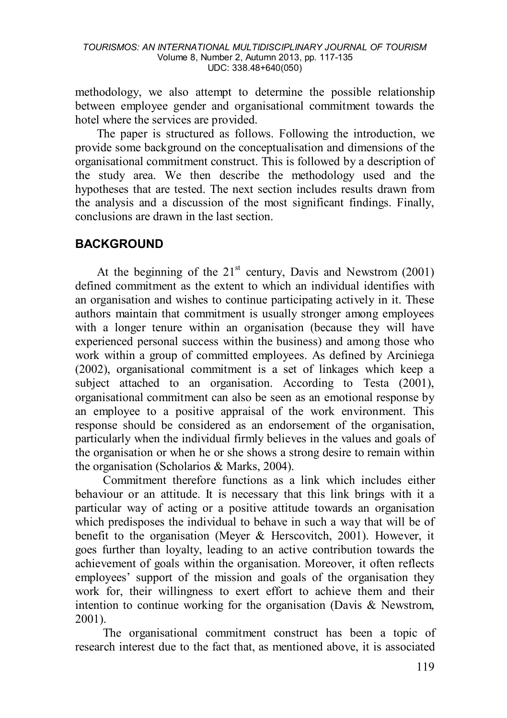methodology, we also attempt to determine the possible relationship between employee gender and organisational commitment towards the hotel where the services are provided.

The paper is structured as follows. Following the introduction, we provide some background on the conceptualisation and dimensions of the organisational commitment construct. This is followed by a description of the study area. We then describe the methodology used and the hypotheses that are tested. The next section includes results drawn from the analysis and a discussion of the most significant findings. Finally, conclusions are drawn in the last section.

# **BACKGROUND**

At the beginning of the  $21<sup>st</sup>$  century, Davis and Newstrom (2001) defined commitment as the extent to which an individual identifies with an organisation and wishes to continue participating actively in it. These authors maintain that commitment is usually stronger among employees with a longer tenure within an organisation (because they will have experienced personal success within the business) and among those who work within a group of committed employees. As defined by Arciniega (2002), organisational commitment is a set of linkages which keep a subject attached to an organisation. According to Testa (2001), organisational commitment can also be seen as an emotional response by an employee to a positive appraisal of the work environment. This response should be considered as an endorsement of the organisation, particularly when the individual firmly believes in the values and goals of the organisation or when he or she shows a strong desire to remain within the organisation (Scholarios & Marks, 2004).

 Commitment therefore functions as a link which includes either behaviour or an attitude. It is necessary that this link brings with it a particular way of acting or a positive attitude towards an organisation which predisposes the individual to behave in such a way that will be of benefit to the organisation (Meyer & Herscovitch, 2001). However, it goes further than loyalty, leading to an active contribution towards the achievement of goals within the organisation. Moreover, it often reflects employees' support of the mission and goals of the organisation they work for, their willingness to exert effort to achieve them and their intention to continue working for the organisation (Davis & Newstrom, 2001).

 The organisational commitment construct has been a topic of research interest due to the fact that, as mentioned above, it is associated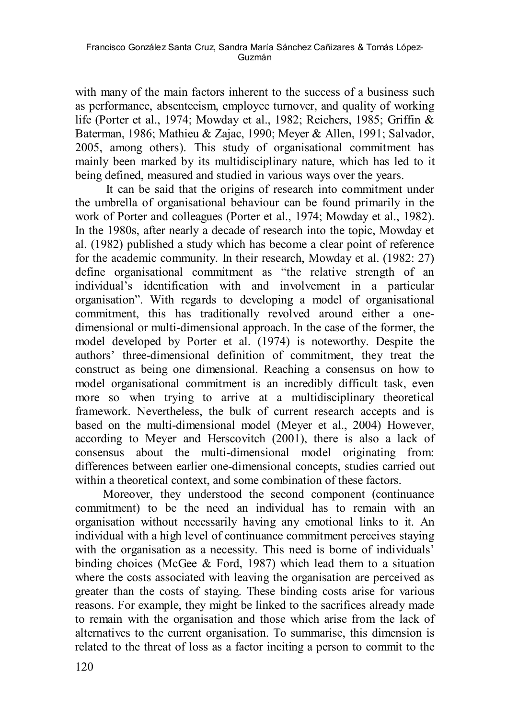with many of the main factors inherent to the success of a business such as performance, absenteeism, employee turnover, and quality of working life (Porter et al., 1974; Mowday et al., 1982; Reichers, 1985; Griffin & Baterman, 1986; Mathieu & Zajac, 1990; Meyer & Allen, 1991; Salvador, 2005, among others). This study of organisational commitment has mainly been marked by its multidisciplinary nature, which has led to it being defined, measured and studied in various ways over the years.

 It can be said that the origins of research into commitment under the umbrella of organisational behaviour can be found primarily in the work of Porter and colleagues (Porter et al., 1974; Mowday et al., 1982). In the 1980s, after nearly a decade of research into the topic, Mowday et al. (1982) published a study which has become a clear point of reference for the academic community. In their research, Mowday et al. (1982: 27) define organisational commitment as "the relative strength of an individual's identification with and involvement in a particular organisation". With regards to developing a model of organisational commitment, this has traditionally revolved around either a onedimensional or multi-dimensional approach. In the case of the former, the model developed by Porter et al. (1974) is noteworthy. Despite the authors' three-dimensional definition of commitment, they treat the construct as being one dimensional. Reaching a consensus on how to model organisational commitment is an incredibly difficult task, even more so when trying to arrive at a multidisciplinary theoretical framework. Nevertheless, the bulk of current research accepts and is based on the multi-dimensional model (Meyer et al., 2004) However, according to Meyer and Herscovitch (2001), there is also a lack of consensus about the multi-dimensional model originating from: differences between earlier one-dimensional concepts, studies carried out within a theoretical context, and some combination of these factors.

 Moreover, they understood the second component (continuance commitment) to be the need an individual has to remain with an organisation without necessarily having any emotional links to it. An individual with a high level of continuance commitment perceives staying with the organisation as a necessity. This need is borne of individuals' binding choices (McGee & Ford, 1987) which lead them to a situation where the costs associated with leaving the organisation are perceived as greater than the costs of staying. These binding costs arise for various reasons. For example, they might be linked to the sacrifices already made to remain with the organisation and those which arise from the lack of alternatives to the current organisation. To summarise, this dimension is related to the threat of loss as a factor inciting a person to commit to the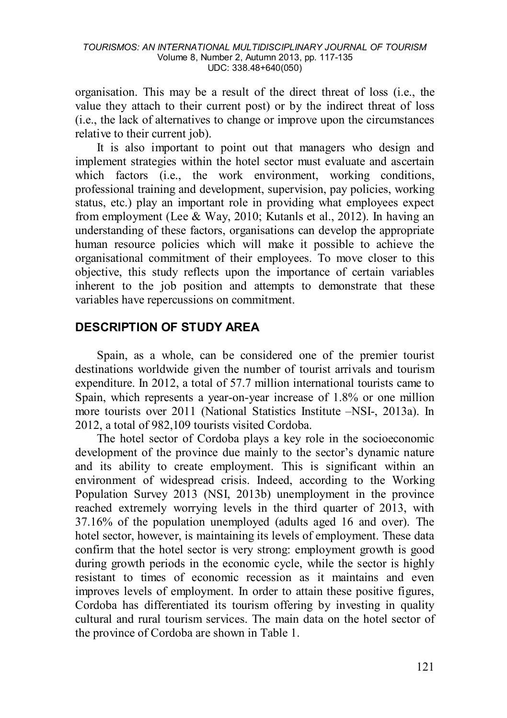organisation. This may be a result of the direct threat of loss (i.e., the value they attach to their current post) or by the indirect threat of loss (i.e., the lack of alternatives to change or improve upon the circumstances relative to their current job).

It is also important to point out that managers who design and implement strategies within the hotel sector must evaluate and ascertain which factors (i.e., the work environment, working conditions, professional training and development, supervision, pay policies, working status, etc.) play an important role in providing what employees expect from employment (Lee & Way, 2010; Kutanls et al., 2012). In having an understanding of these factors, organisations can develop the appropriate human resource policies which will make it possible to achieve the organisational commitment of their employees. To move closer to this objective, this study reflects upon the importance of certain variables inherent to the job position and attempts to demonstrate that these variables have repercussions on commitment.

### **DESCRIPTION OF STUDY AREA**

Spain, as a whole, can be considered one of the premier tourist destinations worldwide given the number of tourist arrivals and tourism expenditure. In 2012, a total of 57.7 million international tourists came to Spain, which represents a year-on-year increase of 1.8% or one million more tourists over 2011 (National Statistics Institute –NSI-, 2013a). In 2012, a total of 982,109 tourists visited Cordoba.

The hotel sector of Cordoba plays a key role in the socioeconomic development of the province due mainly to the sector's dynamic nature and its ability to create employment. This is significant within an environment of widespread crisis. Indeed, according to the Working Population Survey 2013 (NSI, 2013b) unemployment in the province reached extremely worrying levels in the third quarter of 2013, with 37.16% of the population unemployed (adults aged 16 and over). The hotel sector, however, is maintaining its levels of employment. These data confirm that the hotel sector is very strong: employment growth is good during growth periods in the economic cycle, while the sector is highly resistant to times of economic recession as it maintains and even improves levels of employment. In order to attain these positive figures, Cordoba has differentiated its tourism offering by investing in quality cultural and rural tourism services. The main data on the hotel sector of the province of Cordoba are shown in Table 1.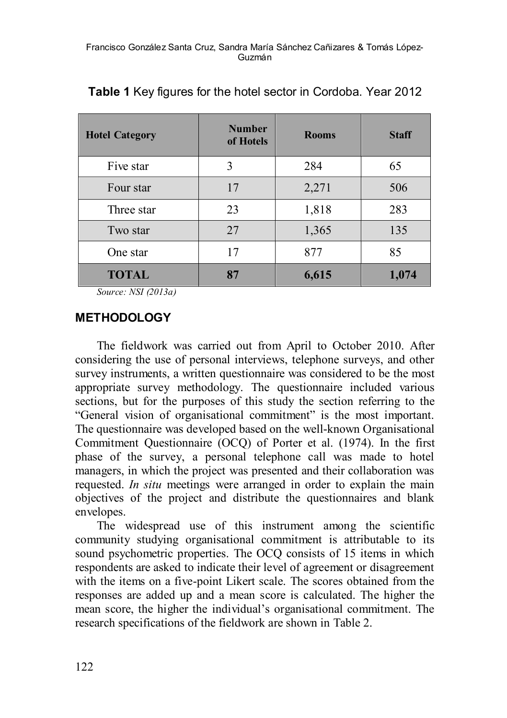| <b>Hotel Category</b> | <b>Number</b><br>of Hotels | <b>Rooms</b> | <b>Staff</b> |
|-----------------------|----------------------------|--------------|--------------|
| Five star             | 3                          | 284          | 65           |
| Four star             | 17                         | 2,271        | 506          |
| Three star            | 23                         | 1,818        | 283          |
| Two star              | 27                         | 1,365        | 135          |
| One star              | 17                         | 877          | 85           |
| <b>TOTAL</b>          | 87                         | 6,615        | 1,074        |

**Table 1** Key figures for the hotel sector in Cordoba. Year 2012

*Source: NSI (2013a)*

### **METHODOLOGY**

The fieldwork was carried out from April to October 2010. After considering the use of personal interviews, telephone surveys, and other survey instruments, a written questionnaire was considered to be the most appropriate survey methodology. The questionnaire included various sections, but for the purposes of this study the section referring to the "General vision of organisational commitment" is the most important. The questionnaire was developed based on the well-known Organisational Commitment Questionnaire (OCQ) of Porter et al. (1974). In the first phase of the survey, a personal telephone call was made to hotel managers, in which the project was presented and their collaboration was requested. *In situ* meetings were arranged in order to explain the main objectives of the project and distribute the questionnaires and blank envelopes.

The widespread use of this instrument among the scientific community studying organisational commitment is attributable to its sound psychometric properties. The OCQ consists of 15 items in which respondents are asked to indicate their level of agreement or disagreement with the items on a five-point Likert scale. The scores obtained from the responses are added up and a mean score is calculated. The higher the mean score, the higher the individual's organisational commitment. The research specifications of the fieldwork are shown in Table 2.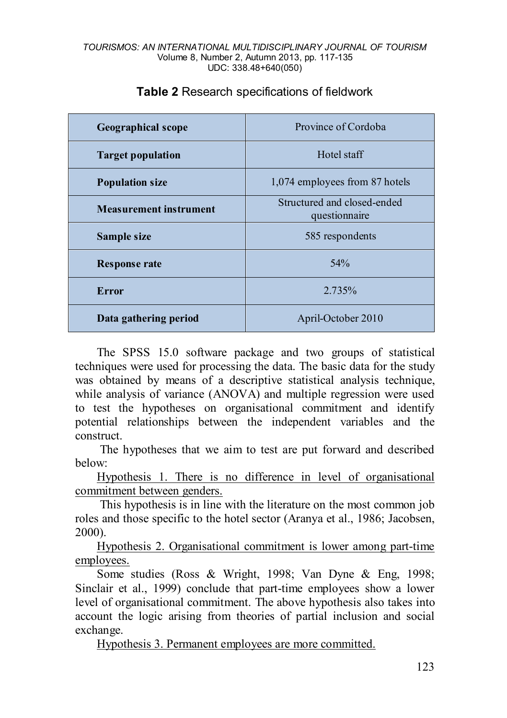| <b>Geographical scope</b>     | Province of Cordoba                          |  |
|-------------------------------|----------------------------------------------|--|
| <b>Target population</b>      | Hotel staff                                  |  |
| <b>Population size</b>        | 1,074 employees from 87 hotels               |  |
| <b>Measurement instrument</b> | Structured and closed-ended<br>questionnaire |  |
| Sample size                   | 585 respondents                              |  |
| <b>Response rate</b>          | 54%                                          |  |
| Error                         | 2.735%                                       |  |
| Data gathering period         | April-October 2010                           |  |

### **Table 2** Research specifications of fieldwork

The SPSS 15.0 software package and two groups of statistical techniques were used for processing the data. The basic data for the study was obtained by means of a descriptive statistical analysis technique, while analysis of variance (ANOVA) and multiple regression were used to test the hypotheses on organisational commitment and identify potential relationships between the independent variables and the construct.

The hypotheses that we aim to test are put forward and described below:

Hypothesis 1. There is no difference in level of organisational commitment between genders.

This hypothesis is in line with the literature on the most common job roles and those specific to the hotel sector (Aranya et al., 1986; Jacobsen, 2000).

Hypothesis 2. Organisational commitment is lower among part-time employees.

Some studies (Ross & Wright, 1998; Van Dyne & Eng, 1998; Sinclair et al., 1999) conclude that part-time employees show a lower level of organisational commitment. The above hypothesis also takes into account the logic arising from theories of partial inclusion and social exchange.

Hypothesis 3. Permanent employees are more committed.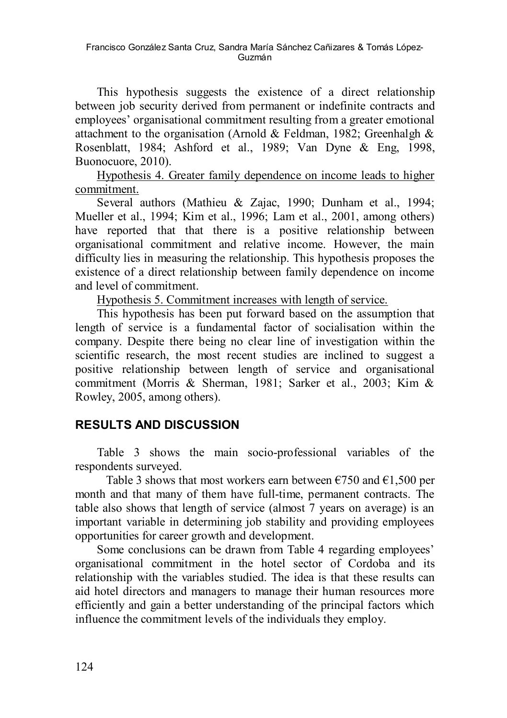This hypothesis suggests the existence of a direct relationship between job security derived from permanent or indefinite contracts and employees' organisational commitment resulting from a greater emotional attachment to the organisation (Arnold & Feldman, 1982; Greenhalgh & Rosenblatt, 1984; Ashford et al., 1989; Van Dyne & Eng, 1998, Buonocuore, 2010).

Hypothesis 4. Greater family dependence on income leads to higher commitment.

Several authors (Mathieu & Zajac, 1990; Dunham et al., 1994; Mueller et al., 1994; Kim et al., 1996; Lam et al., 2001, among others) have reported that that there is a positive relationship between organisational commitment and relative income. However, the main difficulty lies in measuring the relationship. This hypothesis proposes the existence of a direct relationship between family dependence on income and level of commitment.

Hypothesis 5. Commitment increases with length of service.

This hypothesis has been put forward based on the assumption that length of service is a fundamental factor of socialisation within the company. Despite there being no clear line of investigation within the scientific research, the most recent studies are inclined to suggest a positive relationship between length of service and organisational commitment (Morris & Sherman, 1981; Sarker et al., 2003; Kim & Rowley, 2005, among others).

## **RESULTS AND DISCUSSION**

Table 3 shows the main socio-professional variables of the respondents surveyed.

Table 3 shows that most workers earn between  $\epsilon$ 750 and  $\epsilon$ 1,500 per month and that many of them have full-time, permanent contracts. The table also shows that length of service (almost 7 years on average) is an important variable in determining job stability and providing employees opportunities for career growth and development.

Some conclusions can be drawn from Table 4 regarding employees' organisational commitment in the hotel sector of Cordoba and its relationship with the variables studied. The idea is that these results can aid hotel directors and managers to manage their human resources more efficiently and gain a better understanding of the principal factors which influence the commitment levels of the individuals they employ.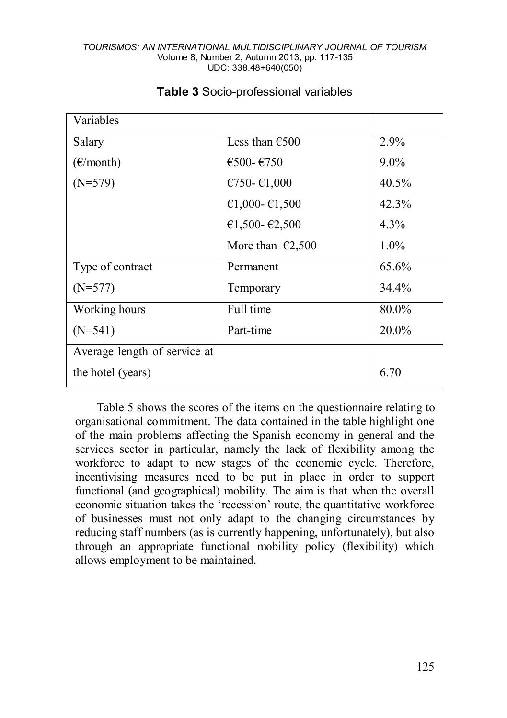| Variables                    |                            |          |
|------------------------------|----------------------------|----------|
| Salary                       | Less than $€500$           | $2.9\%$  |
| $(\epsilon$ /month)          | $€500-€750$                | $9.0\%$  |
| $(N=579)$                    | €750-€1,000                | $40.5\%$ |
|                              | €1,000- $€1,500$           | 42.3%    |
|                              | €1,500-€2,500              | $4.3\%$  |
|                              | More than $\epsilon$ 2,500 | $1.0\%$  |
| Type of contract             | Permanent                  | 65.6%    |
| $(N=577)$                    | Temporary                  | 34.4%    |
| Working hours                | Full time                  | 80.0%    |
| $(N=541)$                    | Part-time                  | 20.0%    |
| Average length of service at |                            |          |
| the hotel (years)            |                            | 6.70     |

### **Table 3** Socio-professional variables

Table 5 shows the scores of the items on the questionnaire relating to organisational commitment. The data contained in the table highlight one of the main problems affecting the Spanish economy in general and the services sector in particular, namely the lack of flexibility among the workforce to adapt to new stages of the economic cycle. Therefore, incentivising measures need to be put in place in order to support functional (and geographical) mobility. The aim is that when the overall economic situation takes the 'recession' route, the quantitative workforce of businesses must not only adapt to the changing circumstances by reducing staff numbers (as is currently happening, unfortunately), but also through an appropriate functional mobility policy (flexibility) which allows employment to be maintained.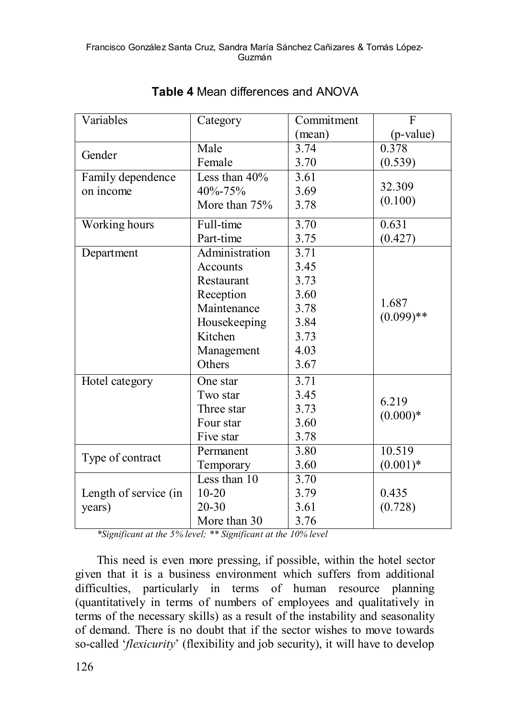#### Francisco González Santa Cruz, Sandra María Sánchez Cañizares & Tomás López-Guzmán

| Variables             | Category        | Commitment | F            |  |
|-----------------------|-----------------|------------|--------------|--|
|                       |                 | (mean)     | (p-value)    |  |
| Gender                | Male            | 3.74       | 0.378        |  |
|                       | Female          | 3.70       | (0.539)      |  |
| Family dependence     | Less than 40%   | 3.61       |              |  |
| on income             | 40%-75%         | 3.69       | 32.309       |  |
|                       | More than $75%$ | 3.78       | (0.100)      |  |
| Working hours         | Full-time       | 3.70       | 0.631        |  |
|                       | Part-time       | 3.75       | (0.427)      |  |
| Department            | Administration  | 3.71       |              |  |
|                       | Accounts        | 3.45       |              |  |
|                       | Restaurant      | 3.73       |              |  |
|                       | Reception       | 3.60       |              |  |
|                       | Maintenance     | 3.78       | 1.687        |  |
|                       | Housekeeping    | 3.84       | $(0.099)$ ** |  |
|                       | Kitchen         | 3.73       |              |  |
|                       | Management      | 4.03       |              |  |
|                       | Others          | 3.67       |              |  |
| Hotel category        | One star        | 3.71       |              |  |
|                       | Two star        | 3.45       |              |  |
|                       | Three star      | 3.73       | 6.219        |  |
|                       | Four star       | 3.60       | $(0.000)*$   |  |
|                       | Five star       | 3.78       |              |  |
| Type of contract      | Permanent       | 3.80       | 10.519       |  |
|                       | Temporary       | 3.60       | $(0.001)*$   |  |
|                       | Less than 10    | 3.70       |              |  |
| Length of service (in | $10 - 20$       | 3.79       | 0.435        |  |
| years)                | $20 - 30$       | 3.61       | (0.728)      |  |
|                       | More than 30    | 3.76       |              |  |

### **Table 4** Mean differences and ANOVA

*\*Significant at the 5% level; \*\* Significant at the 10% level*

This need is even more pressing, if possible, within the hotel sector given that it is a business environment which suffers from additional difficulties, particularly in terms of human resource planning (quantitatively in terms of numbers of employees and qualitatively in terms of the necessary skills) as a result of the instability and seasonality of demand. There is no doubt that if the sector wishes to move towards so-called '*flexicurity*' (flexibility and job security), it will have to develop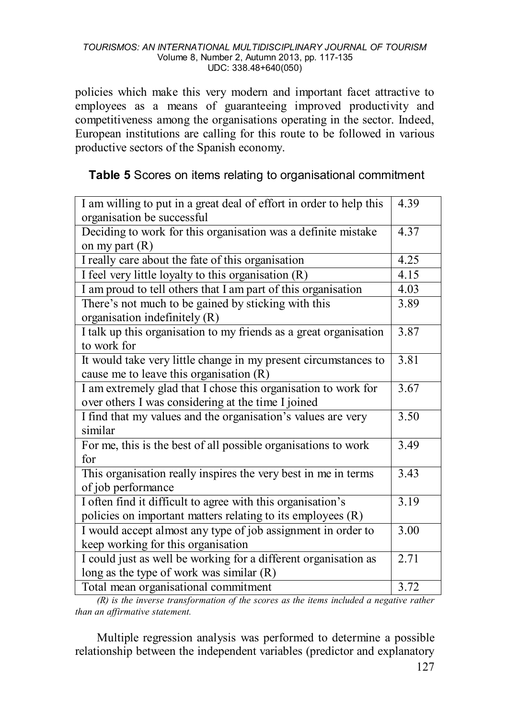policies which make this very modern and important facet attractive to employees as a means of guaranteeing improved productivity and competitiveness among the organisations operating in the sector. Indeed, European institutions are calling for this route to be followed in various productive sectors of the Spanish economy.

## **Table 5** Scores on items relating to organisational commitment

| I am willing to put in a great deal of effort in order to help this<br>organisation be successful |      |  |
|---------------------------------------------------------------------------------------------------|------|--|
| Deciding to work for this organisation was a definite mistake                                     |      |  |
| on my part $(R)$                                                                                  |      |  |
| I really care about the fate of this organisation                                                 |      |  |
| I feel very little loyalty to this organisation (R)                                               |      |  |
| I am proud to tell others that I am part of this organisation                                     | 4.03 |  |
| There's not much to be gained by sticking with this<br>organisation indefinitely (R)              |      |  |
| I talk up this organisation to my friends as a great organisation                                 | 3.87 |  |
| to work for                                                                                       |      |  |
| It would take very little change in my present circumstances to                                   | 3.81 |  |
| cause me to leave this organisation (R)                                                           |      |  |
| I am extremely glad that I chose this organisation to work for                                    |      |  |
| over others I was considering at the time I joined                                                |      |  |
| I find that my values and the organisation's values are very                                      |      |  |
| similar                                                                                           |      |  |
| For me, this is the best of all possible organisations to work                                    | 3.49 |  |
| for                                                                                               | 3.43 |  |
| This organisation really inspires the very best in me in terms                                    |      |  |
| of job performance                                                                                |      |  |
| I often find it difficult to agree with this organisation's                                       | 3.19 |  |
| policies on important matters relating to its employees (R)                                       |      |  |
| I would accept almost any type of job assignment in order to                                      |      |  |
| keep working for this organisation                                                                |      |  |
| I could just as well be working for a different organisation as                                   |      |  |
| long as the type of work was similar (R)                                                          |      |  |
| Total mean organisational commitment                                                              |      |  |

*(R) is the inverse transformation of the scores as the items included a negative rather than an affirmative statement.* 

Multiple regression analysis was performed to determine a possible relationship between the independent variables (predictor and explanatory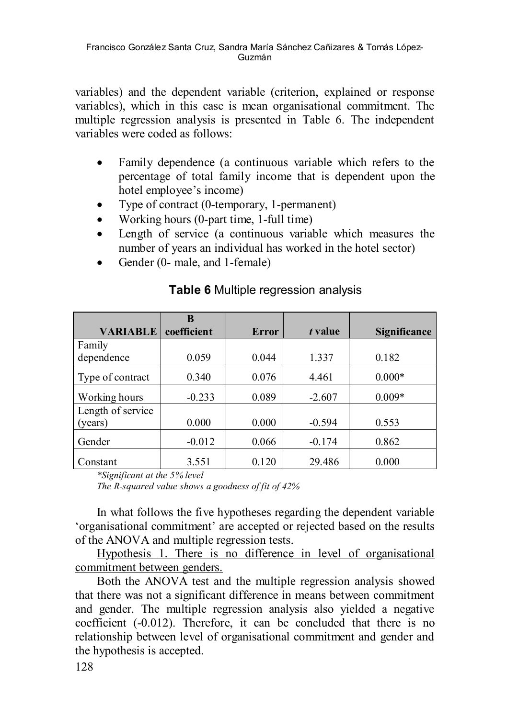variables) and the dependent variable (criterion, explained or response variables), which in this case is mean organisational commitment. The multiple regression analysis is presented in Table 6. The independent variables were coded as follows:

- Family dependence (a continuous variable which refers to the percentage of total family income that is dependent upon the hotel employee's income)
- Type of contract (0-temporary, 1-permanent)
- Working hours (0-part time, 1-full time)
- Length of service (a continuous variable which measures the number of years an individual has worked in the hotel sector)
- Gender (0- male, and 1-female)

|                   | B           |       |          |              |
|-------------------|-------------|-------|----------|--------------|
| <b>VARIABLE</b>   | coefficient | Error | t value  | Significance |
| Family            |             |       |          |              |
| dependence        | 0.059       | 0.044 | 1.337    | 0.182        |
| Type of contract  | 0.340       | 0.076 | 4.461    | $0.000*$     |
| Working hours     | $-0.233$    | 0.089 | $-2.607$ | $0.009*$     |
| Length of service |             |       |          |              |
| (years)           | 0.000       | 0.000 | $-0.594$ | 0.553        |
| Gender            | $-0.012$    | 0.066 | $-0.174$ | 0.862        |
| Constant          | 3.551       | 0.120 | 29.486   | 0.000        |

### **Table 6** Multiple regression analysis

*\*Significant at the 5% level*

*The R-squared value shows a goodness of fit of 42%*

In what follows the five hypotheses regarding the dependent variable 'organisational commitment' are accepted or rejected based on the results of the ANOVA and multiple regression tests.

Hypothesis 1. There is no difference in level of organisational commitment between genders.

Both the ANOVA test and the multiple regression analysis showed that there was not a significant difference in means between commitment and gender. The multiple regression analysis also yielded a negative coefficient (-0.012). Therefore, it can be concluded that there is no relationship between level of organisational commitment and gender and the hypothesis is accepted.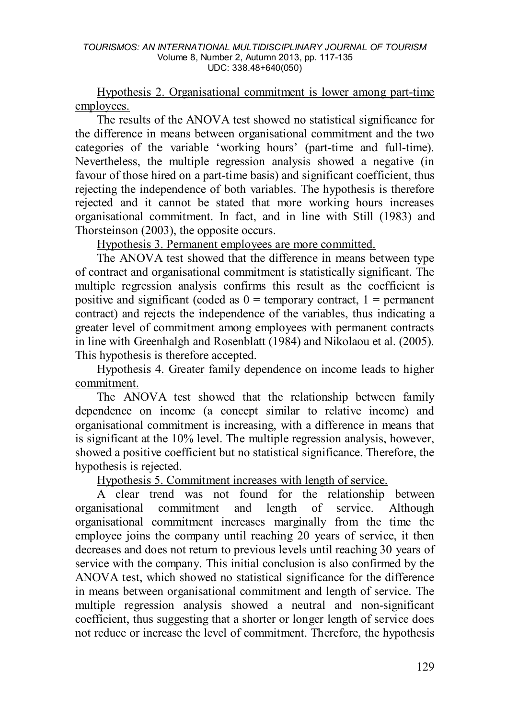Hypothesis 2. Organisational commitment is lower among part-time employees.

The results of the ANOVA test showed no statistical significance for the difference in means between organisational commitment and the two categories of the variable 'working hours' (part-time and full-time). Nevertheless, the multiple regression analysis showed a negative (in favour of those hired on a part-time basis) and significant coefficient, thus rejecting the independence of both variables. The hypothesis is therefore rejected and it cannot be stated that more working hours increases organisational commitment. In fact, and in line with Still (1983) and Thorsteinson (2003), the opposite occurs.

Hypothesis 3. Permanent employees are more committed.

The ANOVA test showed that the difference in means between type of contract and organisational commitment is statistically significant. The multiple regression analysis confirms this result as the coefficient is positive and significant (coded as  $0 =$  temporary contract,  $1 =$  permanent contract) and rejects the independence of the variables, thus indicating a greater level of commitment among employees with permanent contracts in line with Greenhalgh and Rosenblatt (1984) and Nikolaou et al. (2005). This hypothesis is therefore accepted.

Hypothesis 4. Greater family dependence on income leads to higher commitment.

The ANOVA test showed that the relationship between family dependence on income (a concept similar to relative income) and organisational commitment is increasing, with a difference in means that is significant at the 10% level. The multiple regression analysis, however, showed a positive coefficient but no statistical significance. Therefore, the hypothesis is rejected.

Hypothesis 5. Commitment increases with length of service.

A clear trend was not found for the relationship between organisational commitment and length of service. Although organisational commitment increases marginally from the time the employee joins the company until reaching 20 years of service, it then decreases and does not return to previous levels until reaching 30 years of service with the company. This initial conclusion is also confirmed by the ANOVA test, which showed no statistical significance for the difference in means between organisational commitment and length of service. The multiple regression analysis showed a neutral and non-significant coefficient, thus suggesting that a shorter or longer length of service does not reduce or increase the level of commitment. Therefore, the hypothesis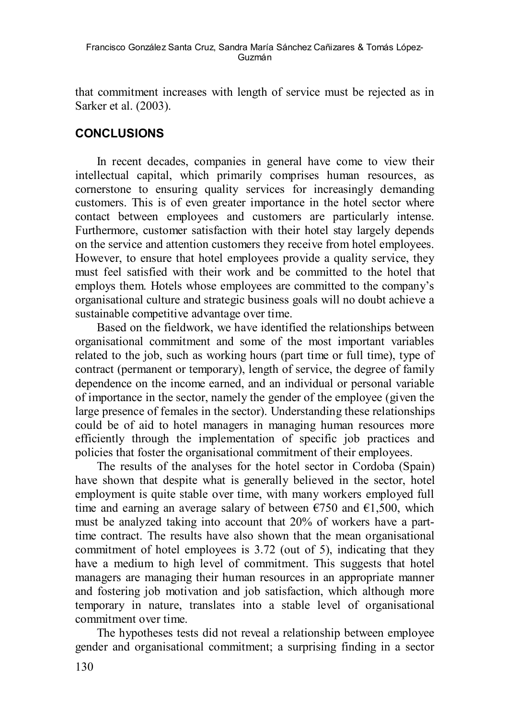that commitment increases with length of service must be rejected as in Sarker et al. (2003).

## **CONCLUSIONS**

In recent decades, companies in general have come to view their intellectual capital, which primarily comprises human resources, as cornerstone to ensuring quality services for increasingly demanding customers. This is of even greater importance in the hotel sector where contact between employees and customers are particularly intense. Furthermore, customer satisfaction with their hotel stay largely depends on the service and attention customers they receive from hotel employees. However, to ensure that hotel employees provide a quality service, they must feel satisfied with their work and be committed to the hotel that employs them. Hotels whose employees are committed to the company's organisational culture and strategic business goals will no doubt achieve a sustainable competitive advantage over time.

Based on the fieldwork, we have identified the relationships between organisational commitment and some of the most important variables related to the job, such as working hours (part time or full time), type of contract (permanent or temporary), length of service, the degree of family dependence on the income earned, and an individual or personal variable of importance in the sector, namely the gender of the employee (given the large presence of females in the sector). Understanding these relationships could be of aid to hotel managers in managing human resources more efficiently through the implementation of specific job practices and policies that foster the organisational commitment of their employees.

The results of the analyses for the hotel sector in Cordoba (Spain) have shown that despite what is generally believed in the sector, hotel employment is quite stable over time, with many workers employed full time and earning an average salary of between  $\epsilon$ 750 and  $\epsilon$ 1,500, which must be analyzed taking into account that 20% of workers have a parttime contract. The results have also shown that the mean organisational commitment of hotel employees is 3.72 (out of 5), indicating that they have a medium to high level of commitment. This suggests that hotel managers are managing their human resources in an appropriate manner and fostering job motivation and job satisfaction, which although more temporary in nature, translates into a stable level of organisational commitment over time.

The hypotheses tests did not reveal a relationship between employee gender and organisational commitment; a surprising finding in a sector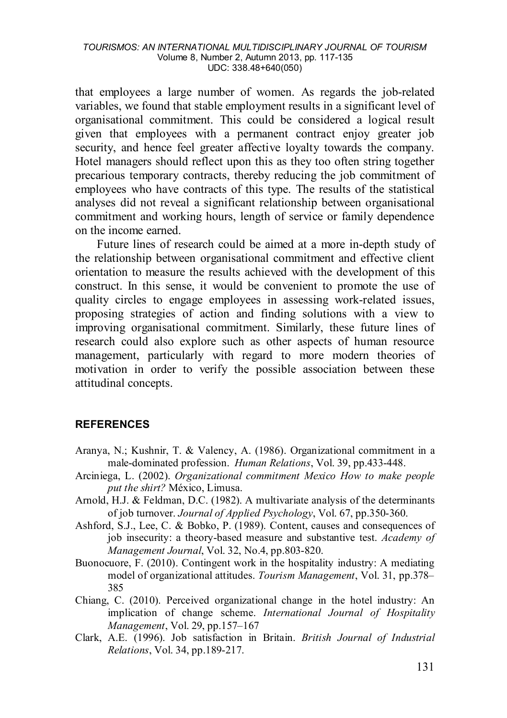that employees a large number of women. As regards the job-related variables, we found that stable employment results in a significant level of organisational commitment. This could be considered a logical result given that employees with a permanent contract enjoy greater job security, and hence feel greater affective loyalty towards the company. Hotel managers should reflect upon this as they too often string together precarious temporary contracts, thereby reducing the job commitment of employees who have contracts of this type. The results of the statistical analyses did not reveal a significant relationship between organisational commitment and working hours, length of service or family dependence on the income earned.

Future lines of research could be aimed at a more in-depth study of the relationship between organisational commitment and effective client orientation to measure the results achieved with the development of this construct. In this sense, it would be convenient to promote the use of quality circles to engage employees in assessing work-related issues, proposing strategies of action and finding solutions with a view to improving organisational commitment. Similarly, these future lines of research could also explore such as other aspects of human resource management, particularly with regard to more modern theories of motivation in order to verify the possible association between these attitudinal concepts.

#### **REFERENCES**

- Aranya, N.; Kushnir, T. & Valency, A. (1986). Organizational commitment in a male-dominated profession. *Human Relations*, Vol. 39, pp.433-448.
- Arciniega, L. (2002). *Organizational commitment Mexico How to make people put the shirt?* México, Limusa.
- Arnold, H.J. & Feldman, D.C. (1982). A multivariate analysis of the determinants of job turnover. *Journal of Applied Psychology*, Vol. 67, pp.350-360.
- Ashford, S.J., Lee, C. & Bobko, P. (1989). Content, causes and consequences of job insecurity: a theory-based measure and substantive test. *Academy of Management Journal*, Vol. 32, No.4, pp.803-820.
- Buonocuore, F. (2010). Contingent work in the hospitality industry: A mediating model of organizational attitudes. *Tourism Management*, Vol. 31, pp.378– 385
- Chiang, C. (2010). Perceived organizational change in the hotel industry: An implication of change scheme. *International Journal of Hospitality Management*, Vol. 29, pp.157–167
- Clark, A.E. (1996). Job satisfaction in Britain. *British Journal of Industrial Relations*, Vol. 34, pp.189-217.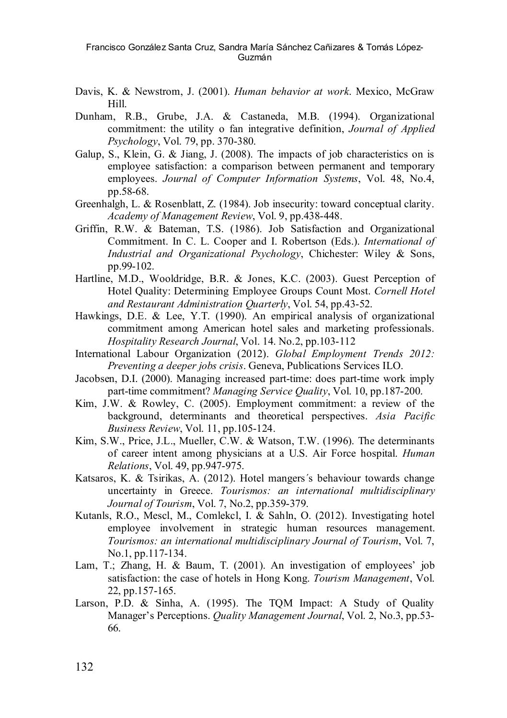- Davis, K. & Newstrom, J. (2001). *Human behavior at work*. Mexico, McGraw Hill.
- Dunham, R.B., Grube, J.A. & Castaneda, M.B. (1994). Organizational commitment: the utility o fan integrative definition, *Journal of Applied Psychology*, Vol. 79, pp. 370-380.
- Galup, S., Klein, G. & Jiang, J. (2008). The impacts of job characteristics on is employee satisfaction: a comparison between permanent and temporary employees. *Journal of Computer Information Systems*, Vol. 48, No.4, pp.58-68.
- Greenhalgh, L. & Rosenblatt, Z. (1984). Job insecurity: toward conceptual clarity. *Academy of Management Review*, Vol. 9, pp.438-448.
- Griffin, R.W. & Bateman, T.S. (1986). Job Satisfaction and Organizational Commitment. In C. L. Cooper and I. Robertson (Eds.). *International of Industrial and Organizational Psychology*, Chichester: Wiley & Sons, pp.99-102.
- Hartline, M.D., Wooldridge, B.R. & Jones, K.C. (2003). Guest Perception of Hotel Quality: Determining Employee Groups Count Most. *Cornell Hotel and Restaurant Administration Quarterly*, Vol. 54, pp.43-52.
- Hawkings, D.E. & Lee, Y.T. (1990). An empirical analysis of organizational commitment among American hotel sales and marketing professionals. *Hospitality Research Journal*, Vol. 14. No.2, pp.103-112
- International Labour Organization (2012). *Global Employment Trends 2012: Preventing a deeper jobs crisis*. Geneva, Publications Services ILO.
- Jacobsen, D.I. (2000). Managing increased part-time: does part-time work imply part-time commitment? *Managing Service Quality*, Vol. 10, pp.187-200.
- Kim, J.W. & Rowley, C. (2005). Employment commitment: a review of the background, determinants and theoretical perspectives. *Asia Pacific Business Review*, Vol. 11, pp.105-124.
- Kim, S.W., Price, J.L., Mueller, C.W. & Watson, T.W. (1996). The determinants of career intent among physicians at a U.S. Air Force hospital. *Human Relations*, Vol. 49, pp.947-975.
- Katsaros, K. & Tsirikas, A. (2012). Hotel mangers´s behaviour towards change uncertainty in Greece. *Tourismos: an international multidisciplinary Journal of Tourism*, Vol. 7, No.2, pp.359-379.
- Kutanls, R.O., Mescl, M., Comlekcl, I. & Sahln, O. (2012). Investigating hotel employee involvement in strategic human resources management. *Tourismos: an international multidisciplinary Journal of Tourism*, Vol. 7, No.1, pp.117-134.
- Lam, T.; Zhang, H. & Baum, T. (2001). An investigation of employees' job satisfaction: the case of hotels in Hong Kong. *Tourism Management*, Vol. 22, pp.157-165.
- Larson, P.D. & Sinha, A. (1995). The TQM Impact: A Study of Quality Manager's Perceptions. *Quality Management Journal*, Vol. 2, No.3, pp.53- 66.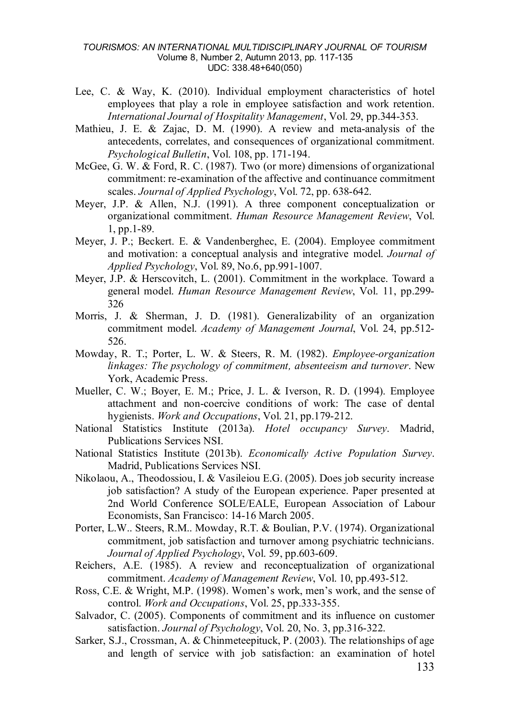- Lee, C. & Way, K. (2010). Individual employment characteristics of hotel employees that play a role in employee satisfaction and work retention. *International Journal of Hospitality Management*, Vol. 29, pp.344-353.
- Mathieu, J. E. & Zajac, D. M. (1990). A review and meta-analysis of the antecedents, correlates, and consequences of organizational commitment. *Psychological Bulletin*, Vol. 108, pp. 171-194.
- McGee, G. W. & Ford, R. C. (1987). Two (or more) dimensions of organizational commitment: re-examination of the affective and continuance commitment scales. *Journal of Applied Psychology*, Vol. 72, pp. 638-642.
- Meyer, J.P. & Allen, N.J. (1991). A three component conceptualization or organizational commitment. *Human Resource Management Review*, Vol. 1, pp.1-89.
- Meyer, J. P.; Beckert. E. & Vandenberghec, E. (2004). Employee commitment and motivation: a conceptual analysis and integrative model. *Journal of Applied Psychology*, Vol. 89, No.6, pp.991-1007.
- Meyer, J.P. & Herscovitch, L. (2001). Commitment in the workplace. Toward a general model. *Human Resource Management Review*, Vol. 11, pp.299- 326
- Morris, J. & Sherman, J. D. (1981). Generalizability of an organization commitment model. *Academy of Management Journal*, Vol. 24, pp.512- 526.
- Mowday, R. T.; Porter, L. W. & Steers, R. M. (1982). *Employee-organization linkages: The psychology of commitment, absenteeism and turnover*. New York, Academic Press.
- Mueller, C. W.; Boyer, E. M.; Price, J. L. & Iverson, R. D. (1994). Employee attachment and non-coercive conditions of work: The case of dental hygienists. *Work and Occupations*, Vol. 21, pp.179-212.
- National Statistics Institute (2013a). *Hotel occupancy Survey*. Madrid, Publications Services NSI.
- National Statistics Institute (2013b). *Economically Active Population Survey*. Madrid, Publications Services NSI.
- Nikolaou, A., Theodossiou, I. & Vasileiou E.G. (2005). Does job security increase job satisfaction? A study of the European experience. Paper presented at 2nd World Conference SOLE/EALE, European Association of Labour Economists, San Francisco: 14-16 March 2005.
- Porter, L.W.. Steers, R.M.. Mowday, R.T. & Boulian, P.V. (1974). Organizational commitment, job satisfaction and turnover among psychiatric technicians. *Journal of Applied Psychology*, Vol. 59, pp.603-609.
- Reichers, A.E. (1985). A review and reconceptualization of organizational commitment. *Academy of Management Review*, Vol. 10, pp.493-512.
- Ross, C.E. & Wright, M.P. (1998). Women's work, men's work, and the sense of control. *Work and Occupations*, Vol. 25, pp.333-355.
- Salvador, C. (2005). Components of commitment and its influence on customer satisfaction. *Journal of Psychology*, Vol. 20, No. 3, pp.316-322.
- Sarker, S.J., Crossman, A. & Chinmeteepituck, P. (2003). The relationships of age and length of service with job satisfaction: an examination of hotel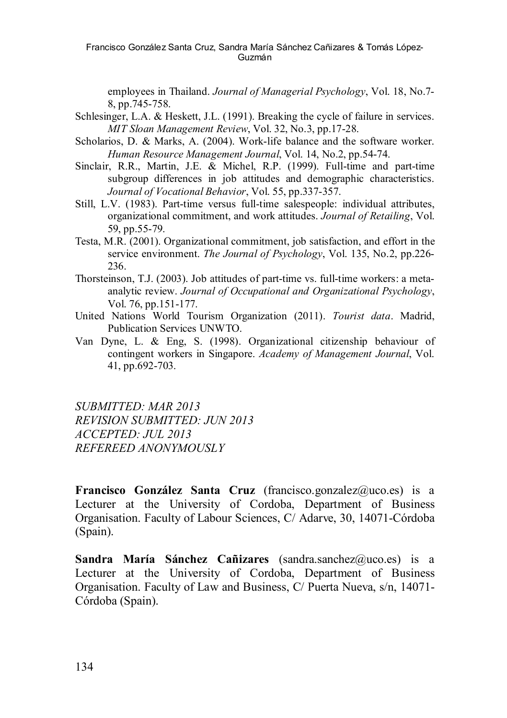Francisco González Santa Cruz, Sandra María Sánchez Cañizares & Tomás López-Guzmán

employees in Thailand. *Journal of Managerial Psychology*, Vol. 18, No.7- 8, pp.745-758.

- Schlesinger, L.A. & Heskett, J.L. (1991). Breaking the cycle of failure in services. *MIT Sloan Management Review*, Vol. 32, No.3, pp.17-28.
- Scholarios, D. & Marks, A. (2004). Work-life balance and the software worker. *Human Resource Management Journal*, Vol. 14, No.2, pp.54-74.
- Sinclair, R.R., Martin, J.E. & Michel, R.P. (1999). Full-time and part-time subgroup differences in job attitudes and demographic characteristics. *Journal of Vocational Behavior*, Vol. 55, pp.337-357.
- Still, L.V. (1983). Part-time versus full-time salespeople: individual attributes, organizational commitment, and work attitudes. *Journal of Retailing*, Vol. 59, pp.55-79.
- Testa, M.R. (2001). Organizational commitment, job satisfaction, and effort in the service environment. *The Journal of Psychology*, Vol. 135, No.2, pp.226- 236.
- Thorsteinson, T.J. (2003). Job attitudes of part-time vs. full-time workers: a metaanalytic review. *Journal of Occupational and Organizational Psychology*, Vol. 76, pp.151-177.
- United Nations World Tourism Organization (2011). *Tourist data*. Madrid, Publication Services UNWTO.
- Van Dyne, L. & Eng, S. (1998). Organizational citizenship behaviour of contingent workers in Singapore. *Academy of Management Journal*, Vol. 41, pp.692-703.

*SUBMITTED: MAR 2013 REVISION SUBMITTED: JUN 2013 ACCEPTED: JUL 2013 REFEREED ANONYMOUSLY*

**Francisco González Santa Cruz** (francisco.gonzalez@uco.es) is a Lecturer at the University of Cordoba, Department of Business Organisation. Faculty of Labour Sciences, C/ Adarve, 30, 14071-Córdoba (Spain).

**Sandra María Sánchez Cañizares** (sandra.sanchez@uco.es) is a Lecturer at the University of Cordoba, Department of Business Organisation. Faculty of Law and Business, C/ Puerta Nueva, s/n, 14071- Córdoba (Spain).